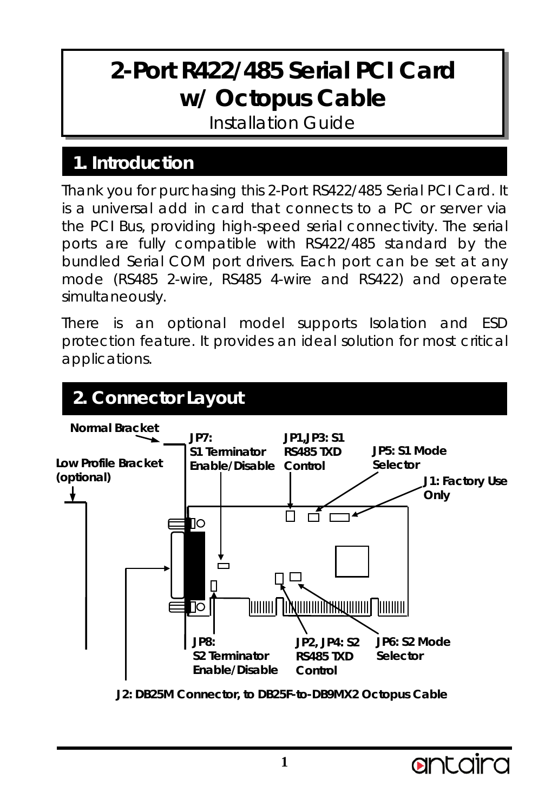## **2-Port R422/485 Serial PCI Card w/ Octopus Cable**

Installation Guide

## **1. Introduction**

Thank you for purchasing this 2-Port RS422/485 Serial PCI Card. It is a universal add in card that connects to a PC or server via the PCI Bus, providing high-speed serial connectivity. The serial ports are fully compatible with RS422/485 standard by the bundled Serial COM port drivers. Each port can be set at any mode (RS485 2-wire, RS485 4-wire and RS422) and operate simultaneously.

There is an optional model supports Isolation and ESD protection feature. It provides an ideal solution for most critical applications.

## **2. Connector Layout**



**J2: DB25M Connector, to DB25F-to-DB9MX2 Octopus Cable**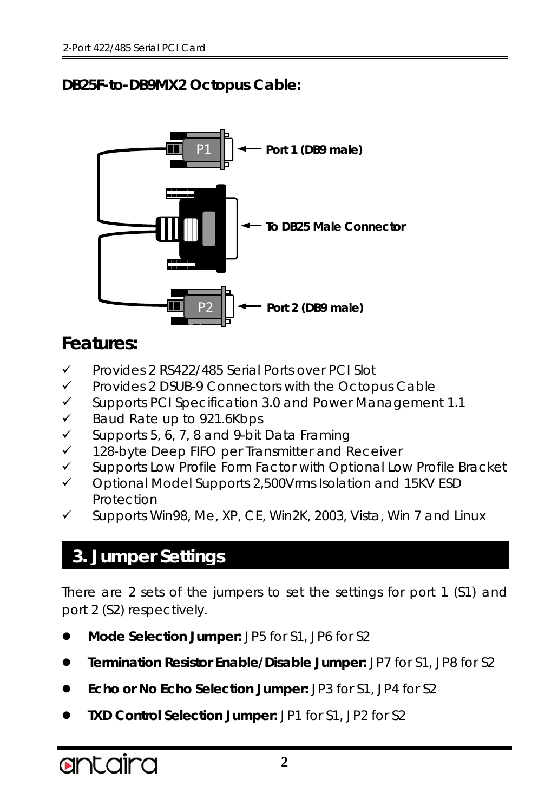#### **DB25F-to-DB9MX2 Octopus Cable:**



## **Features:**

- Provides 2 RS422/485 Serial Ports over PCI Slot
- $\checkmark$  Provides 2 DSUB-9 Connectors with the Octopus Cable
- $\checkmark$  Supports PCI Specification 3.0 and Power Management 1.1
- $\checkmark$  Baud Rate up to 921.6Kbps
- $\checkmark$  Supports 5, 6, 7, 8 and 9-bit Data Framing
- $\checkmark$  128-byte Deep FIFO per Transmitter and Receiver
- $\checkmark$  Supports Low Profile Form Factor with Optional Low Profile Bracket
- $\checkmark$  Optional Model Supports 2,500Vrms Isolation and 15KV ESD Protection
- Supports Win98, Me, XP, CE, Win2K, 2003, Vista, Win 7 and Linux

## **3. Jumper Settings**

There are 2 sets of the jumpers to set the settings for port 1 (S1) and port 2 (S2) respectively.

- **Mode Selection Jumper:** JP5 for S1, JP6 for S2
- **Termination Resistor Enable/Disable Jumper:** JP7 for S1, JP8 for S2
- **Echo or No Echo Selection Jumper:** JP3 for S1, JP4 for S2
- **TXD Control Selection Jumper:** JP1 for S1, JP2 for S2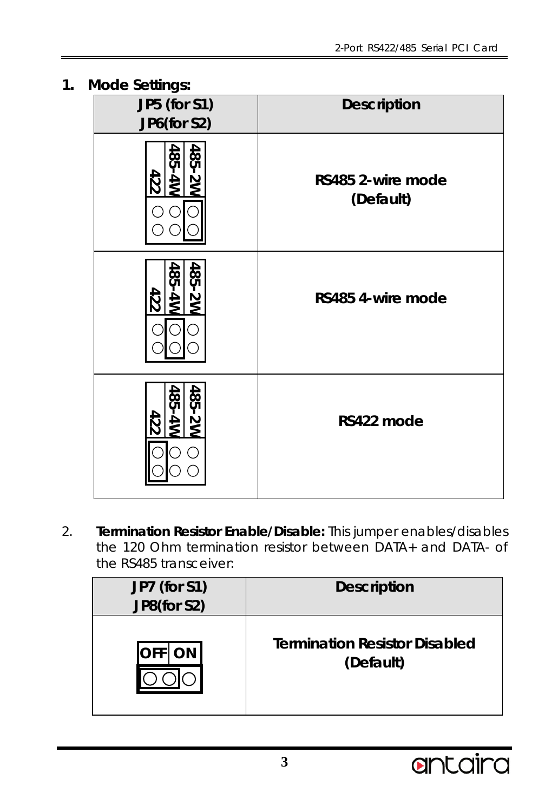**1. Mode Settings:**

| JP5 (for S1)<br>JP6(for S2) | <b>Description</b>             |
|-----------------------------|--------------------------------|
| 485-2W<br>485-4W<br>422     | RS485 2-wire mode<br>(Default) |
| 485-2W<br>485-4W<br>422     | RS485 4-wire mode              |
| 485-2W<br>485-4W<br>422     | RS422 mode                     |

2. **Termination Resistor Enable/Disable:** This jumper enables/disables the 120 Ohm termination resistor between DATA+ and DATA- of the RS485 transceiver:

| JP7 (for S1)<br>JP8(for S2) | <b>Description</b>                   |
|-----------------------------|--------------------------------------|
| ON                          | <b>Termination Resistor Disabled</b> |
| IOFF.                       | (Default)                            |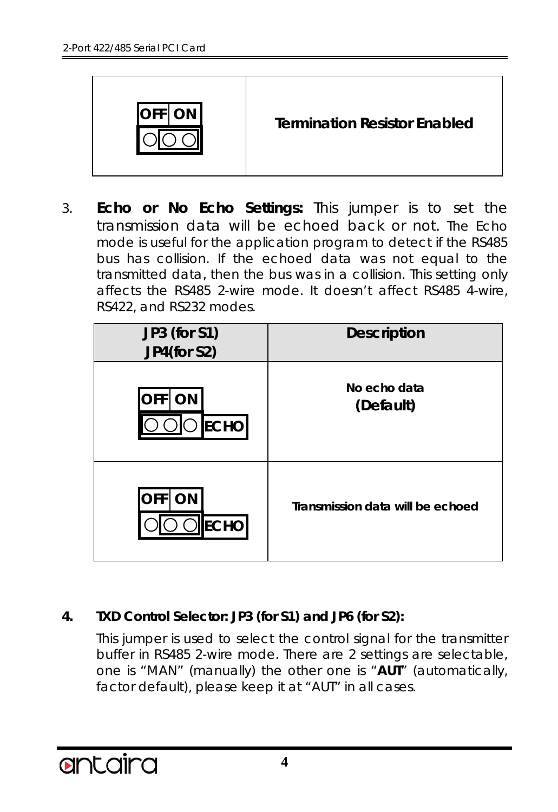

#### **Termination Resistor Enabled**

3. **Echo or No Echo Settings:** This jumper is to set the transmission data will be echoed back or not. The Echo mode is useful for the application program to detect if the RS485 bus has collision. If the echoed data was not equal to the transmitted data, then the bus was in a collision. This setting only affects the RS485 2-wire mode. It doesn't affect RS485 4-wire, RS422, and RS232 modes.

| JP3 (for S1)<br>JP4(for S2)            | <b>Description</b>               |
|----------------------------------------|----------------------------------|
| <b>OFF</b><br><b>ON</b><br><b>ECHO</b> | No echo data<br>(Default)        |
| <b>OFF</b><br><b>ON</b><br><b>ECHO</b> | Transmission data will be echoed |

#### **4. TXD Control Selector: JP3 (for S1) and JP6 (for S2):**

This jumper is used to select the control signal for the transmitter buffer in RS485 2-wire mode. There are 2 settings are selectable, one is "MAN" (manually) the other one is "**AUT**" (automatically, factor default), please keep it at "AUT" in all cases.

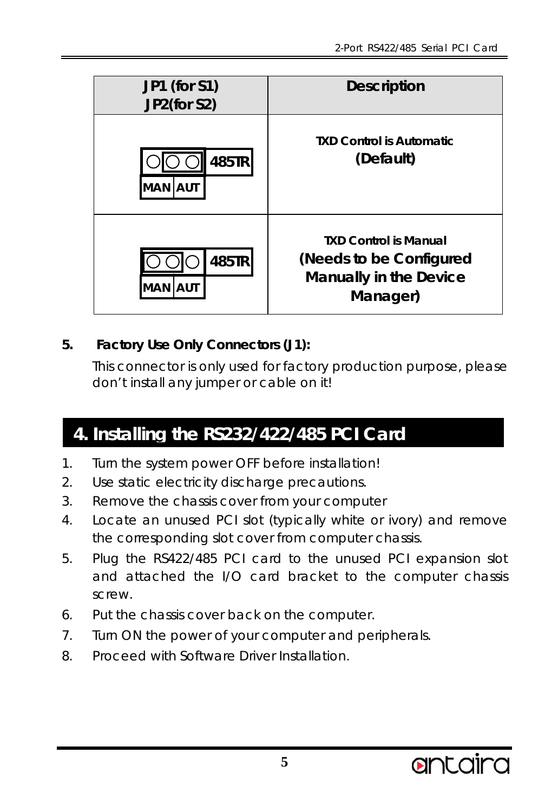| JP1 (for S1)<br>JP2(for S2) | <b>Description</b>                                                                            |
|-----------------------------|-----------------------------------------------------------------------------------------------|
| 485TR<br>MAN   AUT          | <b>TXD Control is Automatic</b><br>(Default)                                                  |
| 485TR<br>MAN IAUT           | <b>TXD Control is Manual</b><br>(Needs to be Configured<br>Manually in the Device<br>Manager) |

#### **5. Factory Use Only Connectors (J1):**

This connector is only used for factory production purpose, please don't install any jumper or cable on it!

## **4. Installing the RS232/422/485 PCI Card**

- 1. Turn the system power OFF before installation!
- 2. Use static electricity discharge precautions.
- 3. Remove the chassis cover from your computer
- 4. Locate an unused PCI slot (typically white or ivory) and remove the corresponding slot cover from computer chassis.
- 5. Plug the RS422/485 PCI card to the unused PCI expansion slot and attached the I/O card bracket to the computer chassis screw.
- 6. Put the chassis cover back on the computer.
- 7. Turn ON the power of your computer and peripherals.
- 8. Proceed with Software Driver Installation.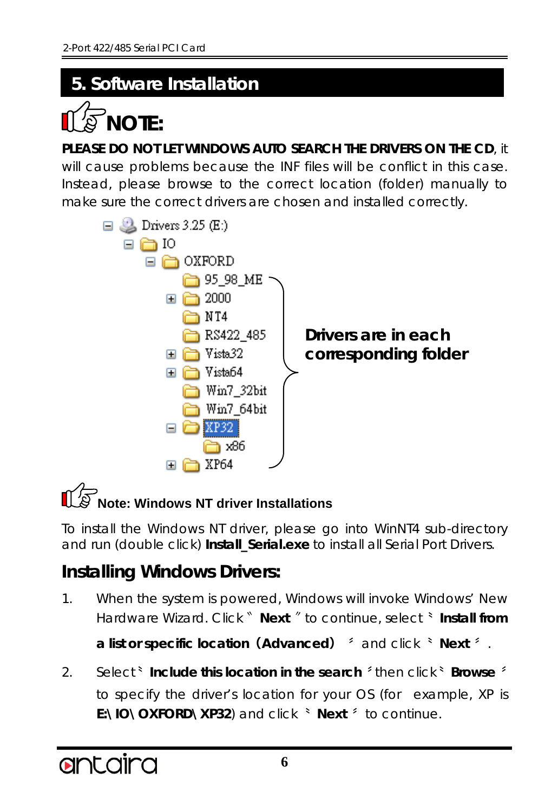## **5. Software Installation**



**PLEASE DO NOT LET WINDOWS AUTO SEARCH THE DRIVERS ON THE CD**, it

will cause problems because the INF files will be conflict in this case. Instead, please browse to the correct location (folder) manually to make sure the correct drivers are chosen and installed correctly.



# **Note: Windows NT driver Installations**

To install the Windows NT driver, please go into WinNT4 sub-directory and run (double click) **Install\_Serial.exe** to install all Serial Port Drivers.

## **Installing Windows Drivers:**

1. When the system is powered, Windows will invoke Windows' New Hardware Wizard. Click〝 **Next** 〞to continue, select〝 **Install from** 

**a list or specific location(Advanced)** 〞and click〝 **Next** 〞.

2. Select〝 **Include this location in the search** 〞then click〝 **Browse** 〞 to specify the driver's location for your OS (for example, XP is **E:\IO\OXFORD\XP32**) and click〝 **Next** 〞to continue.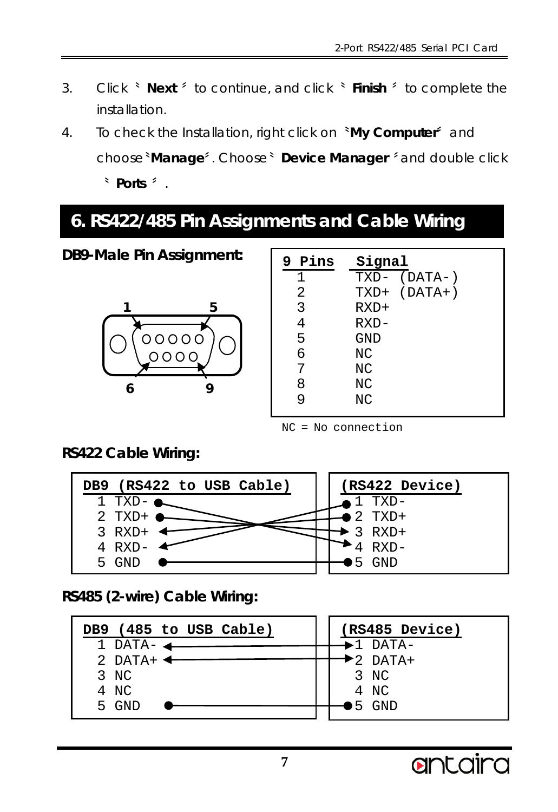- 3. Click〝 **Next** 〞to continue, and click〝 **Finish** 〞to complete the installation.
- 4. To check the Installation, right click on〝**My Computer**〞and choose〝**Manage**〞. Choose〝 **Device Manager** 〞and double click 〝 **Ports** 〞.

## **6. RS422/485 Pin Assignments and Cable Wiring**

**DB9-Male Pin Assignment:**



| 9 Pins | Signal       |
|--------|--------------|
| 1      | TXD- (DATA-) |
| 2      | TXD+ (DATA+) |
| 3      | $RXD+$       |
| 4      | $RXD -$      |
| 5      | GND          |
| б      | NC           |
| 7      | NC           |
| 8      | ΝC           |
| 9      | NC           |
|        |              |

NC = No connection

**RS422 Cable Wiring:**



**RS485 (2-wire) Cable Wiring:**